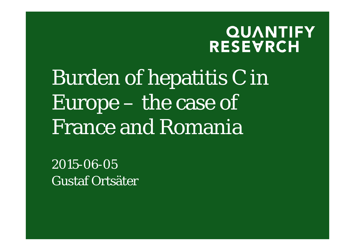#### **QUANTIFY RESEVRCH**

Burden of hepatitis C in Europe – the case of France and Romania

2015-06-05Gustaf Ortsäter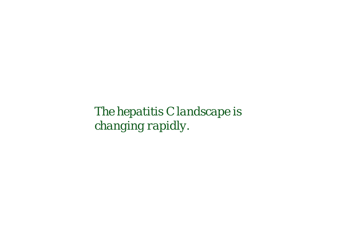*The hepatitis C landscape is changing rapidly.*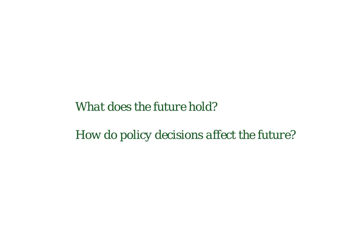*What does the future hold?*

*How do policy decisions affect the future?*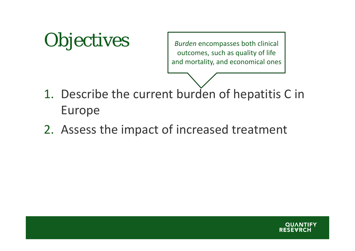# **Objectives**

*Burden* encompasses both clinical outcomes, such as quality of life and mortality, and economical ones

- 1. Describe the current burden of hepatitis C in Europe
- 2. Assess the impact of increased treatment

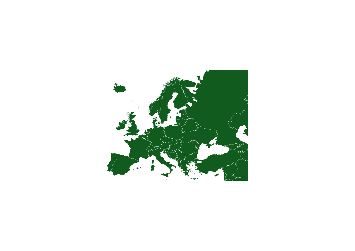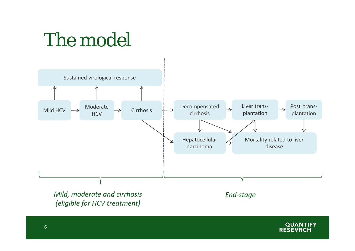## The model



**QUANTIFY RESEVRCH**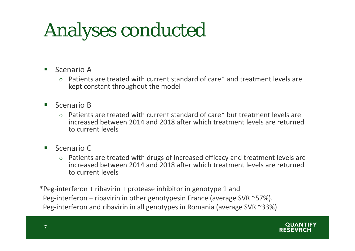# Analyses conducted

- **The Second** ■ Scenario A
	- $\circ$  Patients are treated with current standard of care\* and treatment levels are kept constant throughout the model
- $\overline{\phantom{a}}$ ■ Scenario B
	- o Patients are treated with current standard of care\* but treatment levels are increased between 2014 and 2018 after which treatment levels are returned to current levels
- $\mathcal{L}_{\mathcal{A}}$ ■ Scenario C
	- o Patients are treated with drugs of increased efficacy and treatment levels are increased between 2014 and 2018 after which treatment levels are returned to current levels

\*Peg‐interferon + ribavirin + protease inhibitor in genotype 1 and Peg-interferon + ribavirin in other genotypesin France (average SVR ~57%). Peg-interferon and ribavirin in all genotypes in Romania (average SVR ~33%).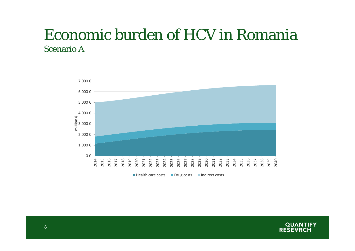#### Economic burden of HCV in Romania Scenario A



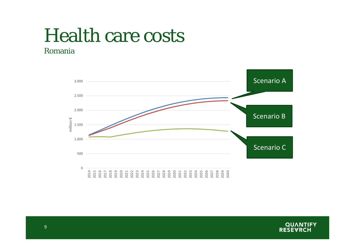### Health care costs

#### Romania



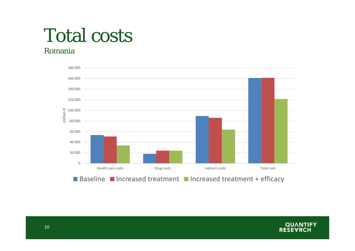## Total costs

#### Romania



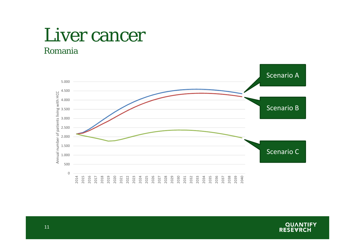#### Liver cancer Romania



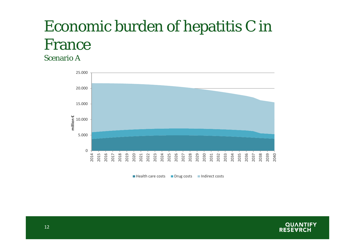### Economic burden of hepatitis C in France

Scenario A



Health care costs Drug costs Indirect costs

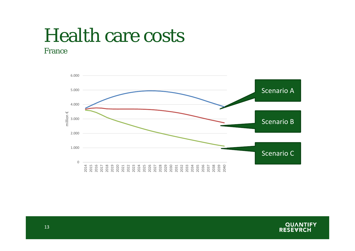### Health care costs

#### France



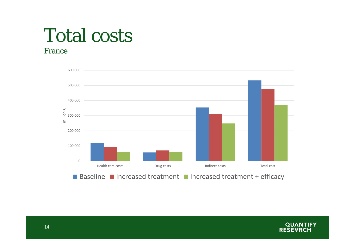## Total costs

#### France



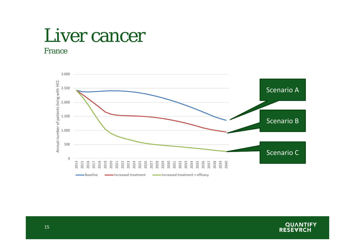### Liver cancer

#### France



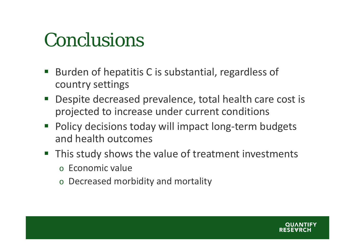## Conclusions

- Burden of hepatitis C is substantial, regardless of country settings
- **Despite decreased prevalence, total health care cost is** projected to increase under current conditions
- Policy decisions today will impact long-term budgets and health outcomes
- $\mathcal{L}_{\mathcal{A}}$  This study shows the value of treatment investments
	- o Economic value
	- o Decreased morbidity and mortality

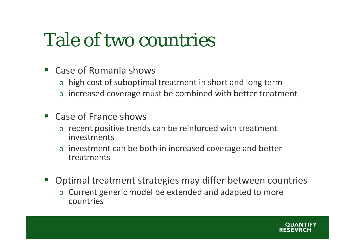## Tale of two countries

- Case of Romania shows
	- o high cost of suboptimal treatment in short and long term
	- $\circ$  increased coverage must be combined with better treatment
- Case of France shows
	- o recent positive trends can be reinforced with treatment investments
	- $\circ$  investment can be both in increased coverage and better treatments
- **Optimal treatment strategies may differ between countries** 
	- o Current generic model be extended and adapted to more countries

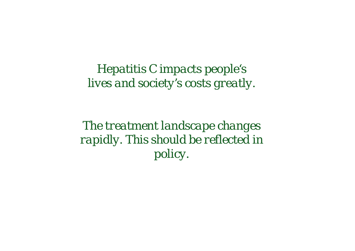*Hepatitis C impacts people's lives and society's costs greatly.*

*The treatment landscape changes rapidly. This should be reflected in policy.*